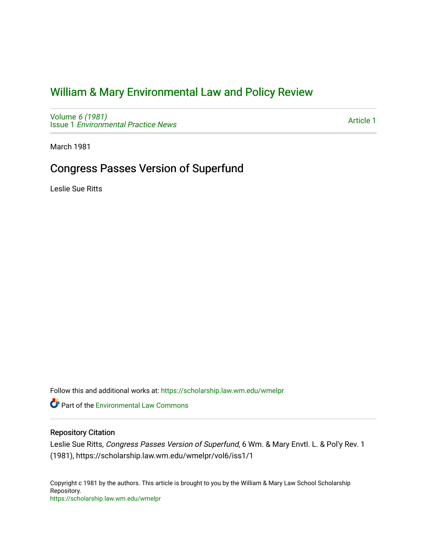## [William & Mary Environmental Law and Policy Review](https://scholarship.law.wm.edu/wmelpr)

Volume [6 \(1981\)](https://scholarship.law.wm.edu/wmelpr/vol6) Issue 1 [Environmental Practice News](https://scholarship.law.wm.edu/wmelpr/vol6/iss1) 

[Article 1](https://scholarship.law.wm.edu/wmelpr/vol6/iss1/1) 

March 1981

## Congress Passes Version of Superfund

Leslie Sue Ritts

Follow this and additional works at: [https://scholarship.law.wm.edu/wmelpr](https://scholarship.law.wm.edu/wmelpr?utm_source=scholarship.law.wm.edu%2Fwmelpr%2Fvol6%2Fiss1%2F1&utm_medium=PDF&utm_campaign=PDFCoverPages)

**P** Part of the [Environmental Law Commons](http://network.bepress.com/hgg/discipline/599?utm_source=scholarship.law.wm.edu%2Fwmelpr%2Fvol6%2Fiss1%2F1&utm_medium=PDF&utm_campaign=PDFCoverPages)

## Repository Citation

Leslie Sue Ritts, Congress Passes Version of Superfund, 6 Wm. & Mary Envtl. L. & Pol'y Rev. 1 (1981), https://scholarship.law.wm.edu/wmelpr/vol6/iss1/1

Copyright c 1981 by the authors. This article is brought to you by the William & Mary Law School Scholarship Repository. <https://scholarship.law.wm.edu/wmelpr>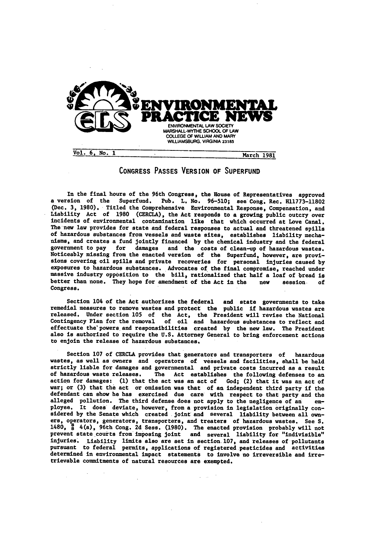

## **CONGRESS PASSES** VERSION OF **SUPERFUND**

In the final hours of the 96th Congress, the House of Representatives approved a version of the Superfund. Pub. L. No. **96-510;** see Cong. Rec. **H11773-11802** (Dec. **3, 1980).** Titled the Comprehensive Environmental Response, Compensation, and Liability Act of **1980** (CERCLA), the Act responds to a growing public outcry over incidents of environmental contamination like that which occurred at Love Canal. The new law provides for state and federal responses to actual and threatened spills of hazardous substances from vessels and waste sites, establishes liability mechanisms, and creates a fund jointly financed **by** the chemical industry and the federal government to pay for damages and the costs of clean-up of hazardous wastes. Noticeably missing from the enacted version of the Superfund, however, are provisions covering oil spills and private recoveries for personal injuries caused **by** exposures to hazardous substances. Advocates of the final compromise, reached under massive industry opposition to the bill, rationalized that half a loaf of bread is better than none. They hope for amendment of the Act in the new session. **of** Congress.

Section 104 of the Act authorizes the federal and state governments to take remedial measures to remove wastes and protect the public if hazardous wastes are remedial measures to remove wastes and protect the public if hazardous wastes are released. Under section **105** of the Act, the President will revise the National Contingency Plan for the removal of oil and hazardous substances to reflect and effectuate the' powers and responsibilities created **by** the new law. The President also is authorized to require the **U.S.** Attorney General to bring enforcement actions to enjoin the release of hazardous substances.

Section **107** of CERCLA provides that generators and transporters of hazardous wastes, as well as owners and operators of vessels and facilities, shall be held strictly liable for damages and governmental and private costs incurred as a result of hazardous waste releases. The Act establishes the following defenses to an action for damages: **(1)** that the act was an act of God; (2) that it was an act of war; or **(3)** that the act or omission was that of an independent third party if the defendant **can** show he has exercised due care with respect to that party and the alleged pollution. The third defense does not apply to the negligence of an employee. It does deviate, however, from a provision in legislation originally con- sidered **by** the Senate which created Joint and several liability between all **own**ers, operators, generators, transporters, and treaters of hazardous wastes. See **S. 1480,** 4(a), 96th Cong. **2d** Seas. **(1980).** The enacted provision probably will not prevent state courts from imposing joint and several liability for "indivisible" injuries. Liability limits also are set in section. 107, and releases of pollutants pursuant to federal permits, applications of registered pesticides and activities determined in environmental impact statements to involve no irreversible and irretrievable commitments of natural resources are exempted.